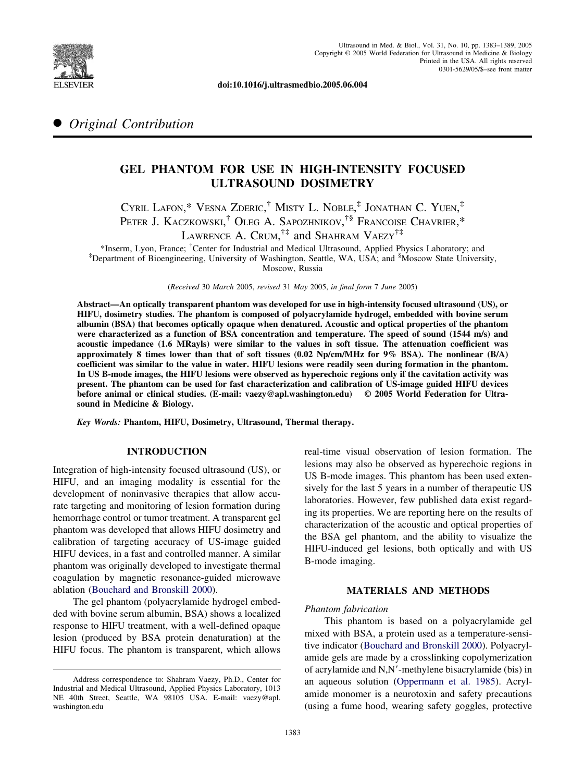

**doi:10.1016/j.ultrasmedbio.2005.06.004**

# ● *Original Contribution*

# **GEL PHANTOM FOR USE IN HIGH-INTENSITY FOCUSED ULTRASOUND DOSIMETRY**

CYRIL LAFON,\* VESNA ZDERIC, † MISTY L. NOBLE, ‡ JONATHAN C. YUEN, ‡ PETER J. KACZKOWSKI,<sup>†</sup> OLEG A. SAPOZHNIKOV,<sup>†§</sup> Francoise Chavrier,\* LAWRENCE A. CRUM,<sup> $\dagger\ddagger$ </sup> and Shahram Vaezy<sup> $\dagger\ddagger$ </sup>

\*Inserm, Lyon, France; † Center for Industrial and Medical Ultrasound, Applied Physics Laboratory; and ‡ Department of Bioengineering, University of Washington, Seattle, WA, USA; and § Moscow State University, Moscow, Russia

(*Received* 30 *March* 2005, *revised* 31 *May* 2005, *in final form* 7 *June* 2005)

**Abstract—An optically transparent phantom was developed for use in high-intensity focused ultrasound (US), or HIFU, dosimetry studies. The phantom is composed of polyacrylamide hydrogel, embedded with bovine serum albumin (BSA) that becomes optically opaque when denatured. Acoustic and optical properties of the phantom were characterized as a function of BSA concentration and temperature. The speed of sound (1544 m/s) and acoustic impedance (1.6 MRayls) were similar to the values in soft tissue. The attenuation coefficient was approximately 8 times lower than that of soft tissues (0.02 Np/cm/MHz for 9% BSA). The nonlinear (B/A) coefficient was similar to the value in water. HIFU lesions were readily seen during formation in the phantom. In US B-mode images, the HIFU lesions were observed as hyperechoic regions only if the cavitation activity was present. The phantom can be used for fast characterization and calibration of US-image guided HIFU devices before animal or clinical studies. (E-mail: vaezy@apl.washington.edu) © 2005 World Federation for Ultrasound in Medicine & Biology.**

*Key Words:* **Phantom, HIFU, Dosimetry, Ultrasound, Thermal therapy.**

## **INTRODUCTION**

Integration of high-intensity focused ultrasound (US), or HIFU, and an imaging modality is essential for the development of noninvasive therapies that allow accurate targeting and monitoring of lesion formation during hemorrhage control or tumor treatment. A transparent gel phantom was developed that allows HIFU dosimetry and calibration of targeting accuracy of US-image guided HIFU devices, in a fast and controlled manner. A similar phantom was originally developed to investigate thermal coagulation by magnetic resonance-guided microwave ablation [\(Bouchard and Bronskill 2000\)](#page-6-0).

The gel phantom (polyacrylamide hydrogel embedded with bovine serum albumin, BSA) shows a localized response to HIFU treatment, with a well-defined opaque lesion (produced by BSA protein denaturation) at the HIFU focus. The phantom is transparent, which allows

real-time visual observation of lesion formation. The lesions may also be observed as hyperechoic regions in US B-mode images. This phantom has been used extensively for the last 5 years in a number of therapeutic US laboratories. However, few published data exist regarding its properties. We are reporting here on the results of characterization of the acoustic and optical properties of the BSA gel phantom, and the ability to visualize the HIFU-induced gel lesions, both optically and with US B-mode imaging.

### **MATERIALS AND METHODS**

#### *Phantom fabrication*

This phantom is based on a polyacrylamide gel mixed with BSA, a protein used as a temperature-sensitive indicator [\(Bouchard and Bronskill 2000\)](#page-6-0). Polyacrylamide gels are made by a crosslinking copolymerization of acrylamide and N,N-methylene bisacrylamide (bis) in an aqueous solution [\(Oppermann et al. 1985\)](#page-6-0). Acrylamide monomer is a neurotoxin and safety precautions (using a fume hood, wearing safety goggles, protective

Address correspondence to: Shahram Vaezy, Ph.D., Center for Industrial and Medical Ultrasound, Applied Physics Laboratory, 1013 NE 40th Street, Seattle, WA 98105 USA. E-mail: vaezy@apl. washington.edu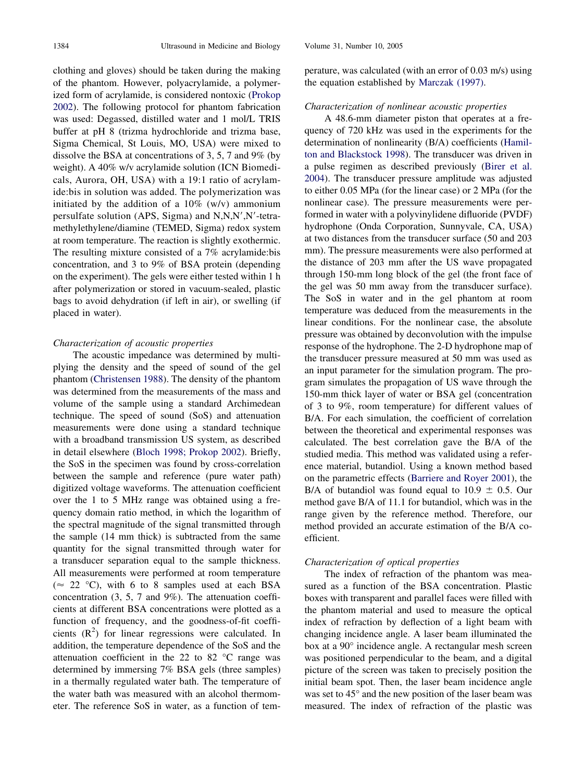clothing and gloves) should be taken during the making of the phantom. However, polyacrylamide, a polymerized form of acrylamide, is considered nontoxic [\(Prokop](#page-6-0) [2002\)](#page-6-0). The following protocol for phantom fabrication was used: Degassed, distilled water and 1 mol/L TRIS buffer at pH 8 (trizma hydrochloride and trizma base, Sigma Chemical, St Louis, MO, USA) were mixed to dissolve the BSA at concentrations of 3, 5, 7 and 9% (by weight). A 40% w/v acrylamide solution (ICN Biomedicals, Aurora, OH, USA) with a 19:1 ratio of acrylamide:bis in solution was added. The polymerization was initiated by the addition of a  $10\%$  (w/v) ammonium persulfate solution (APS, Sigma) and N,N,N',N'-tetramethylethylene/diamine (TEMED, Sigma) redox system at room temperature. The reaction is slightly exothermic. The resulting mixture consisted of a 7% acrylamide:bis concentration, and 3 to 9% of BSA protein (depending on the experiment). The gels were either tested within 1 h after polymerization or stored in vacuum-sealed, plastic bags to avoid dehydration (if left in air), or swelling (if placed in water).

#### *Characterization of acoustic properties*

The acoustic impedance was determined by multiplying the density and the speed of sound of the gel phantom [\(Christensen 1988\)](#page-6-0). The density of the phantom was determined from the measurements of the mass and volume of the sample using a standard Archimedean technique. The speed of sound (SoS) and attenuation measurements were done using a standard technique with a broadband transmission US system, as described in detail elsewhere [\(Bloch 1998; Prokop 2002\)](#page-6-0). Briefly, the SoS in the specimen was found by cross-correlation between the sample and reference (pure water path) digitized voltage waveforms. The attenuation coefficient over the 1 to 5 MHz range was obtained using a frequency domain ratio method, in which the logarithm of the spectral magnitude of the signal transmitted through the sample (14 mm thick) is subtracted from the same quantity for the signal transmitted through water for a transducer separation equal to the sample thickness. All measurements were performed at room temperature ( $\approx$  22 °C), with 6 to 8 samples used at each BSA concentration (3, 5, 7 and 9%). The attenuation coefficients at different BSA concentrations were plotted as a function of frequency, and the goodness-of-fit coefficients  $(R<sup>2</sup>)$  for linear regressions were calculated. In addition, the temperature dependence of the SoS and the attenuation coefficient in the 22 to 82 °C range was determined by immersing 7% BSA gels (three samples) in a thermally regulated water bath. The temperature of the water bath was measured with an alcohol thermometer. The reference SoS in water, as a function of temperature, was calculated (with an error of 0.03 m/s) using the equation established by [Marczak \(1997\).](#page-6-0)

### *Characterization of nonlinear acoustic properties*

A 48.6-mm diameter piston that operates at a frequency of 720 kHz was used in the experiments for the determination of nonlinearity (B/A) coefficients [\(Hamil](#page-6-0)[ton and Blackstock 1998\)](#page-6-0). The transducer was driven in a pulse regimen as described previously [\(Birer et al.](#page-6-0) [2004\)](#page-6-0). The transducer pressure amplitude was adjusted to either 0.05 MPa (for the linear case) or 2 MPa (for the nonlinear case). The pressure measurements were performed in water with a polyvinylidene difluoride (PVDF) hydrophone (Onda Corporation, Sunnyvale, CA, USA) at two distances from the transducer surface (50 and 203 mm). The pressure measurements were also performed at the distance of 203 mm after the US wave propagated through 150-mm long block of the gel (the front face of the gel was 50 mm away from the transducer surface). The SoS in water and in the gel phantom at room temperature was deduced from the measurements in the linear conditions. For the nonlinear case, the absolute pressure was obtained by deconvolution with the impulse response of the hydrophone. The 2-D hydrophone map of the transducer pressure measured at 50 mm was used as an input parameter for the simulation program. The program simulates the propagation of US wave through the 150-mm thick layer of water or BSA gel (concentration of 3 to 9%, room temperature) for different values of B/A. For each simulation, the coefficient of correlation between the theoretical and experimental responses was calculated. The best correlation gave the B/A of the studied media. This method was validated using a reference material, butandiol. Using a known method based on the parametric effects [\(Barriere and Royer 2001\)](#page-6-0), the B/A of butandiol was found equal to 10.9  $\pm$  0.5. Our method gave B/A of 11.1 for butandiol, which was in the range given by the reference method. Therefore, our method provided an accurate estimation of the B/A coefficient.

#### *Characterization of optical properties*

The index of refraction of the phantom was measured as a function of the BSA concentration. Plastic boxes with transparent and parallel faces were filled with the phantom material and used to measure the optical index of refraction by deflection of a light beam with changing incidence angle. A laser beam illuminated the box at a 90° incidence angle. A rectangular mesh screen was positioned perpendicular to the beam, and a digital picture of the screen was taken to precisely position the initial beam spot. Then, the laser beam incidence angle was set to 45° and the new position of the laser beam was measured. The index of refraction of the plastic was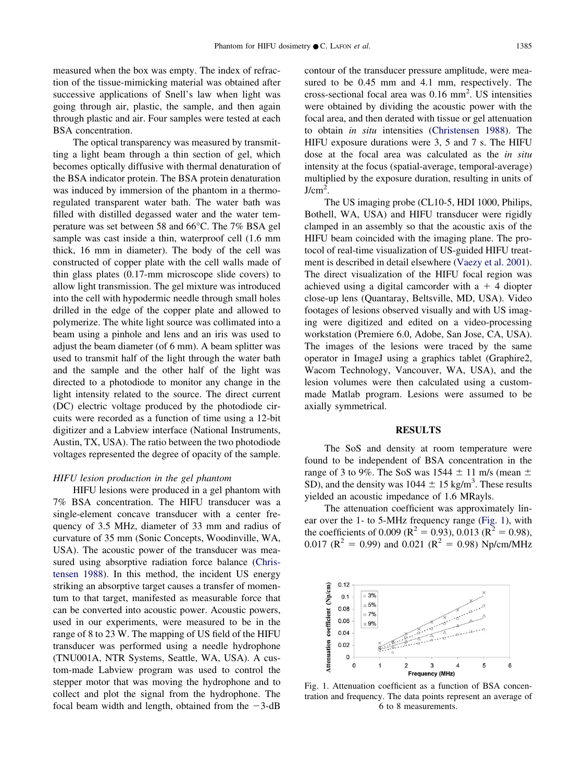measured when the box was empty. The index of refraction of the tissue-mimicking material was obtained after successive applications of Snell's law when light was going through air, plastic, the sample, and then again through plastic and air. Four samples were tested at each BSA concentration.

The optical transparency was measured by transmitting a light beam through a thin section of gel, which becomes optically diffusive with thermal denaturation of the BSA indicator protein. The BSA protein denaturation was induced by immersion of the phantom in a thermoregulated transparent water bath. The water bath was filled with distilled degassed water and the water temperature was set between 58 and 66°C. The 7% BSA gel sample was cast inside a thin, waterproof cell (1.6 mm thick, 16 mm in diameter). The body of the cell was constructed of copper plate with the cell walls made of thin glass plates (0.17-mm microscope slide covers) to allow light transmission. The gel mixture was introduced into the cell with hypodermic needle through small holes drilled in the edge of the copper plate and allowed to polymerize. The white light source was collimated into a beam using a pinhole and lens and an iris was used to adjust the beam diameter (of 6 mm). A beam splitter was used to transmit half of the light through the water bath and the sample and the other half of the light was directed to a photodiode to monitor any change in the light intensity related to the source. The direct current (DC) electric voltage produced by the photodiode circuits were recorded as a function of time using a 12-bit digitizer and a Labview interface (National Instruments, Austin, TX, USA). The ratio between the two photodiode voltages represented the degree of opacity of the sample.

#### *HIFU lesion production in the gel phantom*

HIFU lesions were produced in a gel phantom with 7% BSA concentration. The HIFU transducer was a single-element concave transducer with a center frequency of 3.5 MHz, diameter of 33 mm and radius of curvature of 35 mm (Sonic Concepts, Woodinville, WA, USA). The acoustic power of the transducer was measured using absorptive radiation force balance [\(Chris](#page-6-0)[tensen 1988\)](#page-6-0). In this method, the incident US energy striking an absorptive target causes a transfer of momentum to that target, manifested as measurable force that can be converted into acoustic power. Acoustic powers, used in our experiments, were measured to be in the range of 8 to 23 W. The mapping of US field of the HIFU transducer was performed using a needle hydrophone (TNU001A, NTR Systems, Seattle, WA, USA). A custom-made Labview program was used to control the stepper motor that was moving the hydrophone and to collect and plot the signal from the hydrophone. The focal beam width and length, obtained from the  $-3$ -dB

contour of the transducer pressure amplitude, were measured to be 0.45 mm and 4.1 mm, respectively. The cross-sectional focal area was  $0.16$  mm<sup>2</sup>. US intensities were obtained by dividing the acoustic power with the focal area, and then derated with tissue or gel attenuation to obtain *in situ* intensities [\(Christensen 1988\)](#page-6-0). The HIFU exposure durations were 3, 5 and 7 s. The HIFU dose at the focal area was calculated as the *in situ* intensity at the focus (spatial-average, temporal-average) multiplied by the exposure duration, resulting in units of  $J/cm^2$ .

The US imaging probe (CL10-5, HDI 1000, Philips, Bothell, WA, USA) and HIFU transducer were rigidly clamped in an assembly so that the acoustic axis of the HIFU beam coincided with the imaging plane. The protocol of real-time visualization of US-guided HIFU treatment is described in detail elsewhere [\(Vaezy et al. 2001\)](#page-6-0). The direct visualization of the HIFU focal region was achieved using a digital camcorder with  $a + 4$  diopter close-up lens (Quantaray, Beltsville, MD, USA). Video footages of lesions observed visually and with US imaging were digitized and edited on a video-processing workstation (Premiere 6.0, Adobe, San Jose, CA, USA). The images of the lesions were traced by the same operator in ImageJ using a graphics tablet (Graphire2, Wacom Technology, Vancouver, WA, USA), and the lesion volumes were then calculated using a custommade Matlab program. Lesions were assumed to be axially symmetrical.

#### **RESULTS**

The SoS and density at room temperature were found to be independent of BSA concentration in the range of 3 to 9%. The SoS was  $1544 \pm 11$  m/s (mean  $\pm$ SD), and the density was  $1044 \pm 15$  kg/m<sup>3</sup>. These results yielded an acoustic impedance of 1.6 MRayls.

The attenuation coefficient was approximately linear over the 1- to 5-MHz frequency range (Fig. 1), with the coefficients of 0.009 ( $\mathbb{R}^2 = 0.93$ ), 0.013 ( $\mathbb{R}^2 = 0.98$ ), 0.017 ( $\mathbb{R}^2 = 0.99$ ) and 0.021 ( $\mathbb{R}^2 = 0.98$ ) Np/cm/MHz



Fig. 1. Attenuation coefficient as a function of BSA concentration and frequency. The data points represent an average of 6 to 8 measurements.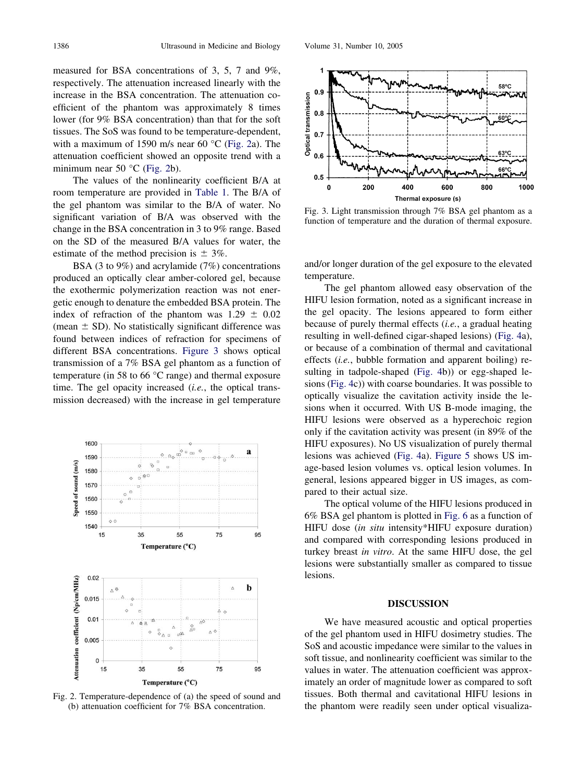measured for BSA concentrations of 3, 5, 7 and 9%, respectively. The attenuation increased linearly with the increase in the BSA concentration. The attenuation coefficient of the phantom was approximately 8 times lower (for 9% BSA concentration) than that for the soft tissues. The SoS was found to be temperature-dependent, with a maximum of 1590 m/s near 60 °C (Fig. 2a). The attenuation coefficient showed an opposite trend with a minimum near 50 °C (Fig. 2b).

The values of the nonlinearity coefficient B/A at room temperature are provided in [Table 1.](#page-4-0) The B/A of the gel phantom was similar to the B/A of water. No significant variation of B/A was observed with the change in the BSA concentration in 3 to 9% range. Based on the SD of the measured B/A values for water, the estimate of the method precision is  $\pm$  3%.

BSA (3 to 9%) and acrylamide (7%) concentrations produced an optically clear amber-colored gel, because the exothermic polymerization reaction was not energetic enough to denature the embedded BSA protein. The index of refraction of the phantom was  $1.29 \pm 0.02$ (mean  $\pm$  SD). No statistically significant difference was found between indices of refraction for specimens of different BSA concentrations. Figure 3 shows optical transmission of a 7% BSA gel phantom as a function of temperature (in 58 to 66 °C range) and thermal exposure time. The gel opacity increased (*i.e.*, the optical transmission decreased) with the increase in gel temperature



Fig. 2. Temperature-dependence of (a) the speed of sound and (b) attenuation coefficient for 7% BSA concentration.



Fig. 3. Light transmission through 7% BSA gel phantom as a function of temperature and the duration of thermal exposure.

and/or longer duration of the gel exposure to the elevated temperature.

The gel phantom allowed easy observation of the HIFU lesion formation, noted as a significant increase in the gel opacity. The lesions appeared to form either because of purely thermal effects (*i.e.*, a gradual heating resulting in well-defined cigar-shaped lesions) [\(Fig. 4a](#page-4-0)), or because of a combination of thermal and cavitational effects (*i.e.*, bubble formation and apparent boiling) resulting in tadpole-shaped [\(Fig. 4b](#page-4-0))) or egg-shaped lesions [\(Fig. 4c](#page-4-0))) with coarse boundaries. It was possible to optically visualize the cavitation activity inside the lesions when it occurred. With US B-mode imaging, the HIFU lesions were observed as a hyperechoic region only if the cavitation activity was present (in 89% of the HIFU exposures). No US visualization of purely thermal lesions was achieved [\(Fig. 4a](#page-4-0)). [Figure 5](#page-5-0) shows US image-based lesion volumes vs. optical lesion volumes. In general, lesions appeared bigger in US images, as compared to their actual size.

The optical volume of the HIFU lesions produced in 6% BSA gel phantom is plotted in [Fig. 6](#page-5-0) as a function of HIFU dose (*in situ* intensity\*HIFU exposure duration) and compared with corresponding lesions produced in turkey breast *in vitro*. At the same HIFU dose, the gel lesions were substantially smaller as compared to tissue lesions.

## **DISCUSSION**

We have measured acoustic and optical properties of the gel phantom used in HIFU dosimetry studies. The SoS and acoustic impedance were similar to the values in soft tissue, and nonlinearity coefficient was similar to the values in water. The attenuation coefficient was approximately an order of magnitude lower as compared to soft tissues. Both thermal and cavitational HIFU lesions in the phantom were readily seen under optical visualiza-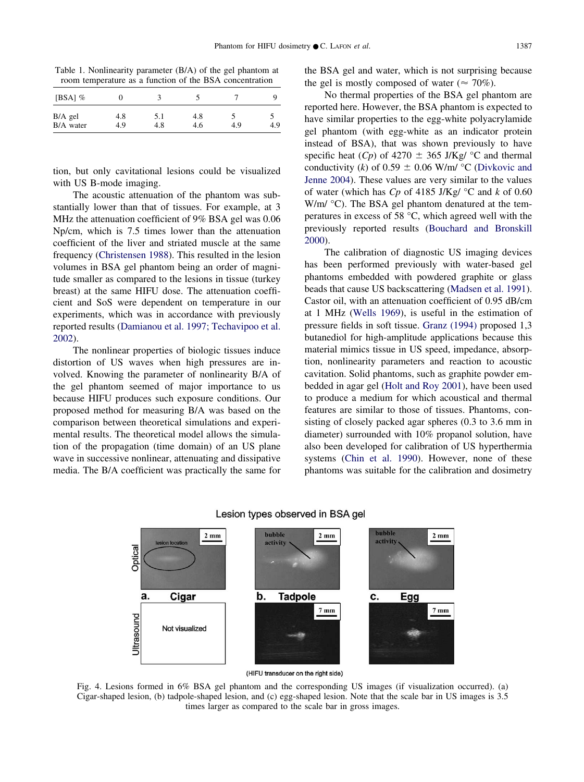<span id="page-4-0"></span>Table 1. Nonlinearity parameter (B/A) of the gel phantom at room temperature as a function of the BSA concentration

| [BSA] $%$ |     |     |     |     |     |
|-----------|-----|-----|-----|-----|-----|
| $B/A$ gel | 4.8 | 5.1 | 4.8 |     |     |
| B/A water | 4.9 | 4.8 | 4.6 | 4.9 | 4.9 |

tion, but only cavitational lesions could be visualized with US B-mode imaging.

The acoustic attenuation of the phantom was substantially lower than that of tissues. For example, at 3 MHz the attenuation coefficient of 9% BSA gel was 0.06 Np/cm, which is 7.5 times lower than the attenuation coefficient of the liver and striated muscle at the same frequency [\(Christensen 1988\)](#page-6-0). This resulted in the lesion volumes in BSA gel phantom being an order of magnitude smaller as compared to the lesions in tissue (turkey breast) at the same HIFU dose. The attenuation coefficient and SoS were dependent on temperature in our experiments, which was in accordance with previously reported results [\(Damianou et al. 1997; Techavipoo et al.](#page-6-0) [2002\)](#page-6-0).

The nonlinear properties of biologic tissues induce distortion of US waves when high pressures are involved. Knowing the parameter of nonlinearity B/A of the gel phantom seemed of major importance to us because HIFU produces such exposure conditions. Our proposed method for measuring B/A was based on the comparison between theoretical simulations and experimental results. The theoretical model allows the simulation of the propagation (time domain) of an US plane wave in successive nonlinear, attenuating and dissipative media. The B/A coefficient was practically the same for

the BSA gel and water, which is not surprising because the gel is mostly composed of water ( $\approx$  70%).

No thermal properties of the BSA gel phantom are reported here. However, the BSA phantom is expected to have similar properties to the egg-white polyacrylamide gel phantom (with egg-white as an indicator protein instead of BSA), that was shown previously to have specific heat  $(Cp)$  of 4270  $\pm$  365 J/Kg/ °C and thermal conductivity (*k*) of  $0.59 \pm 0.06$  W/m/ °C [\(Divkovic and](#page-6-0) [Jenne 2004\)](#page-6-0). These values are very similar to the values of water (which has *Cp* of 4185 J/Kg/ °C and *k* of 0.60 W/m/ °C). The BSA gel phantom denatured at the temperatures in excess of 58 °C, which agreed well with the previously reported results [\(Bouchard and Bronskill](#page-6-0) [2000\)](#page-6-0).

The calibration of diagnostic US imaging devices has been performed previously with water-based gel phantoms embedded with powdered graphite or glass beads that cause US backscattering [\(Madsen et al. 1991\)](#page-6-0). Castor oil, with an attenuation coefficient of 0.95 dB/cm at 1 MHz [\(Wells 1969\)](#page-6-0), is useful in the estimation of pressure fields in soft tissue. [Granz \(1994\)](#page-6-0) proposed 1,3 butanediol for high-amplitude applications because this material mimics tissue in US speed, impedance, absorption, nonlinearity parameters and reaction to acoustic cavitation. Solid phantoms, such as graphite powder embedded in agar gel [\(Holt and Roy 2001\)](#page-6-0), have been used to produce a medium for which acoustical and thermal features are similar to those of tissues. Phantoms, consisting of closely packed agar spheres (0.3 to 3.6 mm in diameter) surrounded with 10% propanol solution, have also been developed for calibration of US hyperthermia systems [\(Chin et al. 1990\)](#page-6-0). However, none of these phantoms was suitable for the calibration and dosimetry



#### Lesion types observed in BSA gel

(HIFU transducer on the right side)

Fig. 4. Lesions formed in 6% BSA gel phantom and the corresponding US images (if visualization occurred). (a) Cigar-shaped lesion, (b) tadpole-shaped lesion, and (c) egg-shaped lesion. Note that the scale bar in US images is 3.5 times larger as compared to the scale bar in gross images.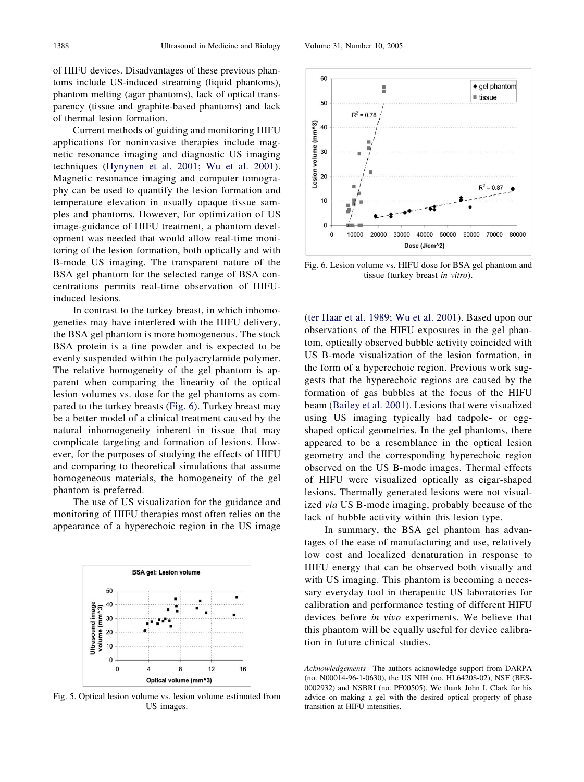<span id="page-5-0"></span>of HIFU devices. Disadvantages of these previous phantoms include US-induced streaming (liquid phantoms), phantom melting (agar phantoms), lack of optical transparency (tissue and graphite-based phantoms) and lack of thermal lesion formation.

Current methods of guiding and monitoring HIFU applications for noninvasive therapies include magnetic resonance imaging and diagnostic US imaging techniques [\(Hynynen et al. 2001; Wu et al. 2001\)](#page-6-0). Magnetic resonance imaging and computer tomography can be used to quantify the lesion formation and temperature elevation in usually opaque tissue samples and phantoms. However, for optimization of US image-guidance of HIFU treatment, a phantom development was needed that would allow real-time monitoring of the lesion formation, both optically and with B-mode US imaging. The transparent nature of the BSA gel phantom for the selected range of BSA concentrations permits real-time observation of HIFUinduced lesions.

In contrast to the turkey breast, in which inhomogeneties may have interfered with the HIFU delivery, the BSA gel phantom is more homogeneous. The stock BSA protein is a fine powder and is expected to be evenly suspended within the polyacrylamide polymer. The relative homogeneity of the gel phantom is apparent when comparing the linearity of the optical lesion volumes vs. dose for the gel phantoms as compared to the turkey breasts (Fig. 6). Turkey breast may be a better model of a clinical treatment caused by the natural inhomogeneity inherent in tissue that may complicate targeting and formation of lesions. However, for the purposes of studying the effects of HIFU and comparing to theoretical simulations that assume homogeneous materials, the homogeneity of the gel phantom is preferred.

The use of US visualization for the guidance and monitoring of HIFU therapies most often relies on the appearance of a hyperechoic region in the US image



Fig. 5. Optical lesion volume vs. lesion volume estimated from US images.



20  $R^2 = 0.87$ 10  $\mathbf 0$  $\mathbf 0$ 10000 20000 30000 40000 50000 60000 70000 80000 Dose (J/cm^2)

Fig. 6. Lesion volume vs. HIFU dose for BSA gel phantom and tissue (turkey breast *in vitro*).

[\(ter Haar et al. 1989; Wu et al. 2001\)](#page-6-0). Based upon our observations of the HIFU exposures in the gel phantom, optically observed bubble activity coincided with US B-mode visualization of the lesion formation, in the form of a hyperechoic region. Previous work suggests that the hyperechoic regions are caused by the formation of gas bubbles at the focus of the HIFU beam [\(Bailey et al. 2001\)](#page-6-0). Lesions that were visualized using US imaging typically had tadpole- or eggshaped optical geometries. In the gel phantoms, there appeared to be a resemblance in the optical lesion geometry and the corresponding hyperechoic region observed on the US B-mode images. Thermal effects of HIFU were visualized optically as cigar-shaped lesions. Thermally generated lesions were not visualized *via* US B-mode imaging, probably because of the lack of bubble activity within this lesion type.

In summary, the BSA gel phantom has advantages of the ease of manufacturing and use, relatively low cost and localized denaturation in response to HIFU energy that can be observed both visually and with US imaging. This phantom is becoming a necessary everyday tool in therapeutic US laboratories for calibration and performance testing of different HIFU devices before *in vivo* experiments. We believe that this phantom will be equally useful for device calibration in future clinical studies.

*Acknowledgements—*The authors acknowledge support from DARPA (no. N00014-96-1-0630), the US NIH (no. HL64208-02), NSF (BES-0002932) and NSBRI (no. PF00505). We thank John I. Clark for his advice on making a gel with the desired optical property of phase transition at HIFU intensities.